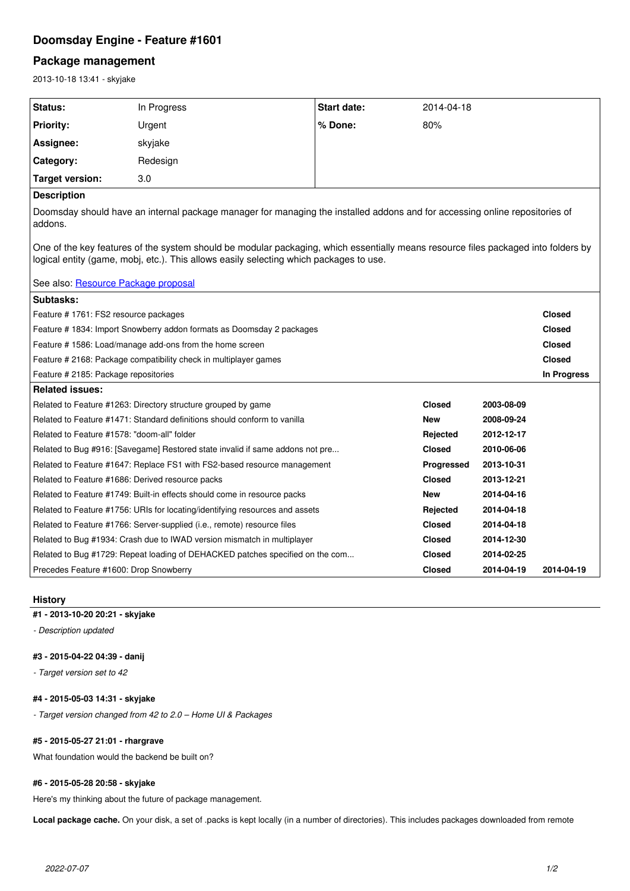# **Doomsday Engine - Feature #1601**

# **Package management**

2013-10-18 13:41 - skyjake

| Status:                                                                                                                                                                                                                      | In Progress                                                                   | <b>Start date:</b> | 2014-04-18    |            |               |
|------------------------------------------------------------------------------------------------------------------------------------------------------------------------------------------------------------------------------|-------------------------------------------------------------------------------|--------------------|---------------|------------|---------------|
| <b>Priority:</b>                                                                                                                                                                                                             | Urgent                                                                        | % Done:            | 80%           |            |               |
| Assignee:                                                                                                                                                                                                                    | skyjake                                                                       |                    |               |            |               |
| Category:                                                                                                                                                                                                                    | Redesign                                                                      |                    |               |            |               |
| <b>Target version:</b>                                                                                                                                                                                                       | 3.0                                                                           |                    |               |            |               |
| <b>Description</b>                                                                                                                                                                                                           |                                                                               |                    |               |            |               |
| Doomsday should have an internal package manager for managing the installed addons and for accessing online repositories of<br>addons.                                                                                       |                                                                               |                    |               |            |               |
| One of the key features of the system should be modular packaging, which essentially means resource files packaged into folders by<br>logical entity (game, mobj, etc.). This allows easily selecting which packages to use. |                                                                               |                    |               |            |               |
| See also: Resource Package proposal                                                                                                                                                                                          |                                                                               |                    |               |            |               |
| Subtasks:                                                                                                                                                                                                                    |                                                                               |                    |               |            |               |
| Feature # 1761: FS2 resource packages                                                                                                                                                                                        |                                                                               |                    |               |            | <b>Closed</b> |
| Feature # 1834: Import Snowberry addon formats as Doomsday 2 packages                                                                                                                                                        |                                                                               |                    |               |            | <b>Closed</b> |
| Feature # 1586: Load/manage add-ons from the home screen                                                                                                                                                                     |                                                                               |                    |               |            | <b>Closed</b> |
| Feature # 2168: Package compatibility check in multiplayer games                                                                                                                                                             |                                                                               |                    |               |            | <b>Closed</b> |
| Feature # 2185: Package repositories                                                                                                                                                                                         |                                                                               |                    |               |            | In Progress   |
| <b>Related issues:</b>                                                                                                                                                                                                       |                                                                               |                    |               |            |               |
|                                                                                                                                                                                                                              | Related to Feature #1263: Directory structure grouped by game                 |                    | <b>Closed</b> | 2003-08-09 |               |
|                                                                                                                                                                                                                              | Related to Feature #1471: Standard definitions should conform to vanilla      |                    | <b>New</b>    | 2008-09-24 |               |
| Related to Feature #1578: "doom-all" folder                                                                                                                                                                                  |                                                                               | Rejected           | 2012-12-17    |            |               |
| Related to Bug #916: [Savegame] Restored state invalid if same addons not pre                                                                                                                                                |                                                                               |                    | <b>Closed</b> | 2010-06-06 |               |
| Related to Feature #1647: Replace FS1 with FS2-based resource management                                                                                                                                                     |                                                                               |                    | Progressed    | 2013-10-31 |               |
| Related to Feature #1686: Derived resource packs                                                                                                                                                                             |                                                                               | <b>Closed</b>      | 2013-12-21    |            |               |
| Related to Feature #1749: Built-in effects should come in resource packs                                                                                                                                                     |                                                                               | <b>New</b>         | 2014-04-16    |            |               |
| Related to Feature #1756: URIs for locating/identifying resources and assets                                                                                                                                                 |                                                                               |                    | Rejected      | 2014-04-18 |               |
|                                                                                                                                                                                                                              | Related to Feature #1766: Server-supplied (i.e., remote) resource files       |                    | <b>Closed</b> | 2014-04-18 |               |
| Related to Bug #1934: Crash due to IWAD version mismatch in multiplayer                                                                                                                                                      |                                                                               | <b>Closed</b>      | 2014-12-30    |            |               |
|                                                                                                                                                                                                                              | Related to Bug #1729: Repeat loading of DEHACKED patches specified on the com |                    | Closed        | 2014-02-25 |               |
| Precedes Feature #1600: Drop Snowberry                                                                                                                                                                                       |                                                                               |                    | Closed        | 2014-04-19 | 2014-04-19    |

# **History**

### **#1 - 2013-10-20 20:21 - skyjake**

*- Description updated*

# **#3 - 2015-04-22 04:39 - danij**

*- Target version set to 42*

## **#4 - 2015-05-03 14:31 - skyjake**

*- Target version changed from 42 to 2.0 – Home UI & Packages*

# **#5 - 2015-05-27 21:01 - rhargrave**

What foundation would the backend be built on?

# **#6 - 2015-05-28 20:58 - skyjake**

Here's my thinking about the future of package management.

**Local package cache.** On your disk, a set of .packs is kept locally (in a number of directories). This includes packages downloaded from remote